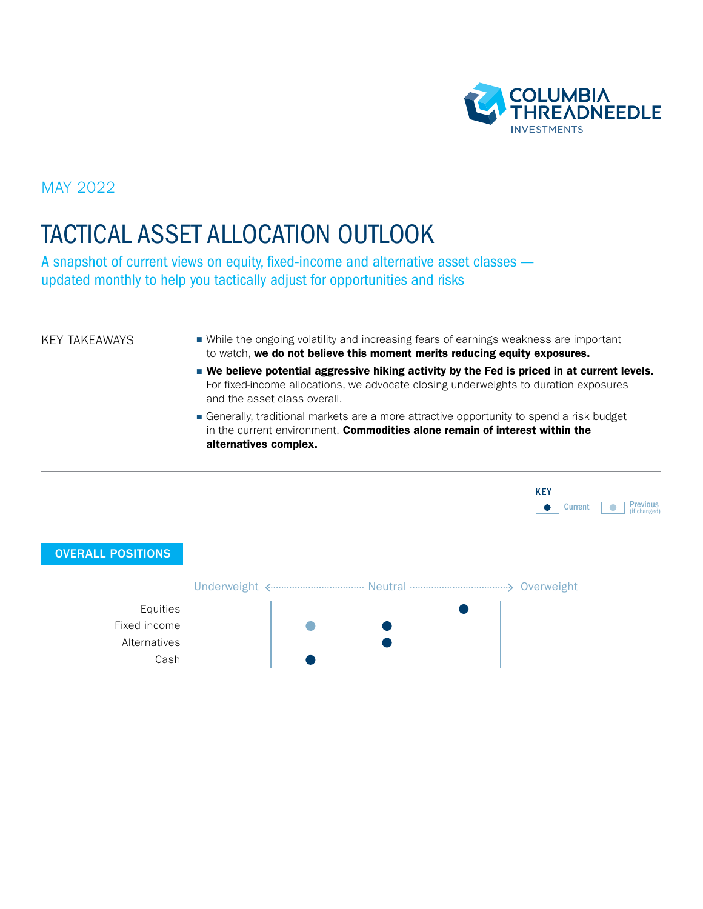

MAY 2022

# TACTICAL ASSET ALLOCATION OUTLOOK

A snapshot of current views on equity, fixed-income and alternative asset classes updated monthly to help you tactically adjust for opportunities and risks

#### KEY TAKEAWAYS

- While the ongoing volatility and increasing fears of earnings weakness are important to watch, we do not believe this moment merits reducing equity exposures.
- We believe potential aggressive hiking activity by the Fed is priced in at current levels. For fixed-income allocations, we advocate closing underweights to duration exposures and the asset class overall.
- Generally, traditional markets are a more attractive opportunity to spend a risk budget in the current environment. Commodities alone remain of interest within the alternatives complex.

| <b>KFY</b> |                |                                 |
|------------|----------------|---------------------------------|
|            | <b>Current</b> | <b>Previous</b><br>(if changed) |

#### OVERALL POSITIONS

| Equities     |  |  |  |
|--------------|--|--|--|
| Fixed income |  |  |  |
| Alternatives |  |  |  |
| Cash         |  |  |  |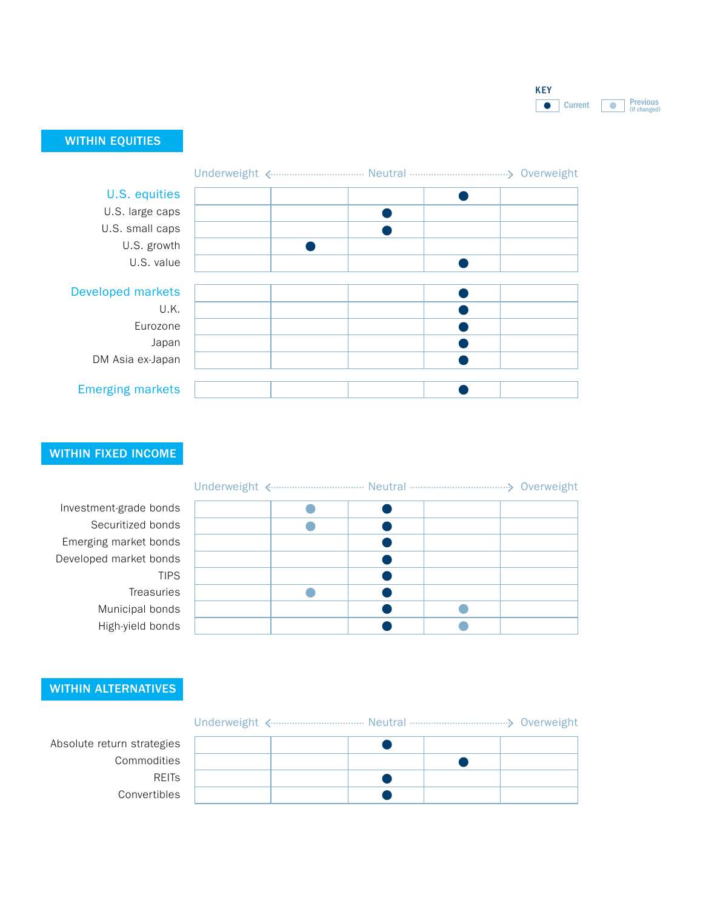

### WITHIN EQUITIES

| U.S. equities            |  |  |  |
|--------------------------|--|--|--|
| U.S. large caps          |  |  |  |
| U.S. small caps          |  |  |  |
| U.S. growth              |  |  |  |
| U.S. value               |  |  |  |
|                          |  |  |  |
| <b>Developed markets</b> |  |  |  |
| U.K.                     |  |  |  |
| Eurozone                 |  |  |  |
| Japan                    |  |  |  |
| DM Asia ex-Japan         |  |  |  |
|                          |  |  |  |
| <b>Emerging markets</b>  |  |  |  |

### WITHIN FIXED INCOME

Investment-grade bonds Securitized bonds Emerging market bonds Developed market bonds TIPS Treasuries Municipal bonds High-yield bonds

#### Underweight <------------------------------- Neutral ----------------------------------> Overweight

## WITHIN ALTERNATIVES

|--|--|--|--|

 $\bullet$  $\bullet$ REITs  $\bullet$  $\bullet$ 

Absolute return strategies Commodities Convertibles